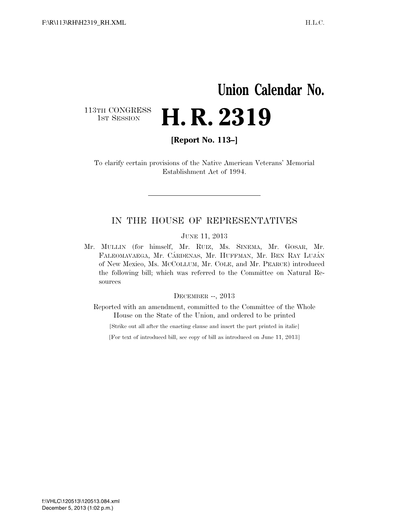## **Union Calendar No.**

113TH CONGRESS<br>1st Session

**[Report No. 113–]** 

H. R. 2319

To clarify certain provisions of the Native American Veterans' Memorial Establishment Act of 1994.

## IN THE HOUSE OF REPRESENTATIVES

JUNE 11, 2013

Mr. MULLIN (for himself, Mr. RUIZ, Ms. SINEMA, Mr. GOSAR, Mr. FALEOMAVAEGA, Mr. CÁRDENAS, Mr. HUFFMAN, Mr. BEN RAY LUJÁN of New Mexico, Ms. MCCOLLUM, Mr. COLE, and Mr. PEARCE) introduced the following bill; which was referred to the Committee on Natural Resources

DECEMBER --, 2013

Reported with an amendment, committed to the Committee of the Whole House on the State of the Union, and ordered to be printed

[Strike out all after the enacting clause and insert the part printed in italic]

[For text of introduced bill, see copy of bill as introduced on June 11, 2013]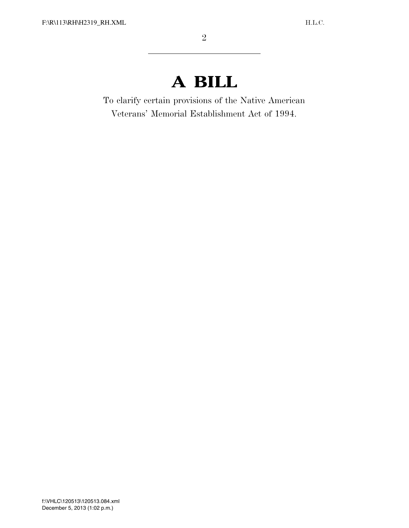## **A BILL**

To clarify certain provisions of the Native American Veterans' Memorial Establishment Act of 1994.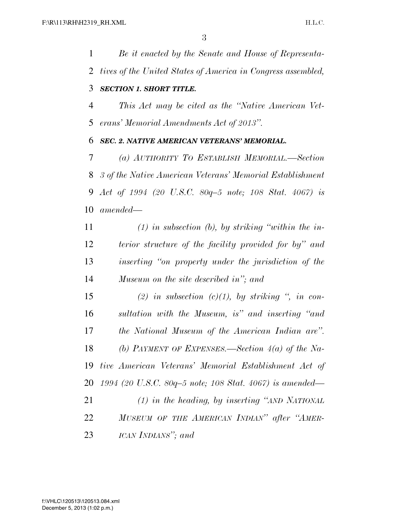*Be it enacted by the Senate and House of Representa- tives of the United States of America in Congress assembled, SECTION 1. SHORT TITLE.* 

 *This Act may be cited as the ''Native American Vet-erans' Memorial Amendments Act of 2013''.* 

## *SEC. 2. NATIVE AMERICAN VETERANS' MEMORIAL.*

 *(a) AUTHORITY TO ESTABLISH MEMORIAL.—Section 3 of the Native American Veterans' Memorial Establishment Act of 1994 (20 U.S.C. 80q–5 note; 108 Stat. 4067) is amended—* 

 *(1) in subsection (b), by striking ''within the in- terior structure of the facility provided for by'' and inserting ''on property under the jurisdiction of the Museum on the site described in''; and* 

 *(2) in subsection (c)(1), by striking '', in con- sultation with the Museum, is'' and inserting ''and the National Museum of the American Indian are''. (b) PAYMENT OF EXPENSES.—Section 4(a) of the Na- tive American Veterans' Memorial Establishment Act of 1994 (20 U.S.C. 80q–5 note; 108 Stat. 4067) is amended— (1) in the heading, by inserting ''AND NATIONAL*

 *MUSEUM OF THE AMERICAN INDIAN'' after ''AMER-ICAN INDIANS''; and*